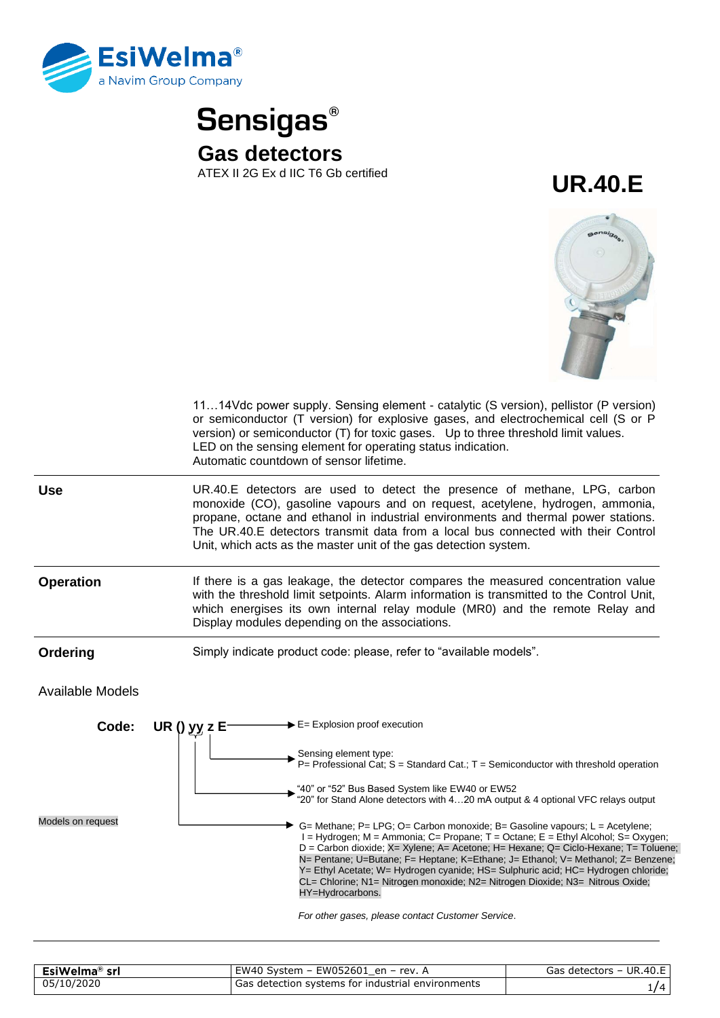

**Sensigas® Gas detectors**<br>ATEX II 2G Ex d IIC T6 Gb certified

ATEX II 2G Ex d IIC T6 Gb certified **UR.40.E**



| 1114Vdc power supply. Sensing element - catalytic (S version), pellistor (P version)<br>or semiconductor (T version) for explosive gases, and electrochemical cell (S or P<br>version) or semiconductor (T) for toxic gases. Up to three threshold limit values.<br>LED on the sensing element for operating status indication.<br>Automatic countdown of sensor lifetime.                                                                                                                                                                                                                                                                                                                                                                                                                                                                                       |  |
|------------------------------------------------------------------------------------------------------------------------------------------------------------------------------------------------------------------------------------------------------------------------------------------------------------------------------------------------------------------------------------------------------------------------------------------------------------------------------------------------------------------------------------------------------------------------------------------------------------------------------------------------------------------------------------------------------------------------------------------------------------------------------------------------------------------------------------------------------------------|--|
| UR.40.E detectors are used to detect the presence of methane, LPG, carbon<br>monoxide (CO), gasoline vapours and on request, acetylene, hydrogen, ammonia,<br>propane, octane and ethanol in industrial environments and thermal power stations.<br>The UR.40.E detectors transmit data from a local bus connected with their Control<br>Unit, which acts as the master unit of the gas detection system.                                                                                                                                                                                                                                                                                                                                                                                                                                                        |  |
| If there is a gas leakage, the detector compares the measured concentration value<br>with the threshold limit setpoints. Alarm information is transmitted to the Control Unit,<br>which energises its own internal relay module (MR0) and the remote Relay and<br>Display modules depending on the associations.                                                                                                                                                                                                                                                                                                                                                                                                                                                                                                                                                 |  |
| Simply indicate product code: please, refer to "available models".                                                                                                                                                                                                                                                                                                                                                                                                                                                                                                                                                                                                                                                                                                                                                                                               |  |
| <b>Available Models</b>                                                                                                                                                                                                                                                                                                                                                                                                                                                                                                                                                                                                                                                                                                                                                                                                                                          |  |
| $\blacktriangleright$ E= Explosion proof execution<br>UR() $yy z E$<br>Sensing element type:<br>P= Professional Cat; S = Standard Cat.; T = Semiconductor with threshold operation<br>"40" or "52" Bus Based System like EW40 or EW52<br>"20" for Stand Alone detectors with 420 mA output & 4 optional VFC relays output<br>G= Methane; P= LPG; O= Carbon monoxide; B= Gasoline vapours; L = Acetylene;<br>I = Hydrogen; M = Ammonia; C= Propane; T = Octane; E = Ethyl Alcohol; S= Oxygen;<br>D = Carbon dioxide; X= Xylene; A= Acetone; H= Hexane; Q= Ciclo-Hexane; T= Toluene;<br>N= Pentane; U=Butane; F= Heptane; K=Ethane; J= Ethanol; V= Methanol; Z= Benzene;<br>Y= Ethyl Acetate; W= Hydrogen cyanide; HS= Sulphuric acid; HC= Hydrogen chloride;<br>CL= Chlorine; N1= Nitrogen monoxide; N2= Nitrogen Dioxide; N3= Nitrous Oxide;<br>HY=Hydrocarbons. |  |
|                                                                                                                                                                                                                                                                                                                                                                                                                                                                                                                                                                                                                                                                                                                                                                                                                                                                  |  |

| EsiWelma® srl | EW40 System - EW052601 en - rev. A                | Gas detectors - UR.40.E |
|---------------|---------------------------------------------------|-------------------------|
| 05/10/2020    | Gas detection systems for industrial environments |                         |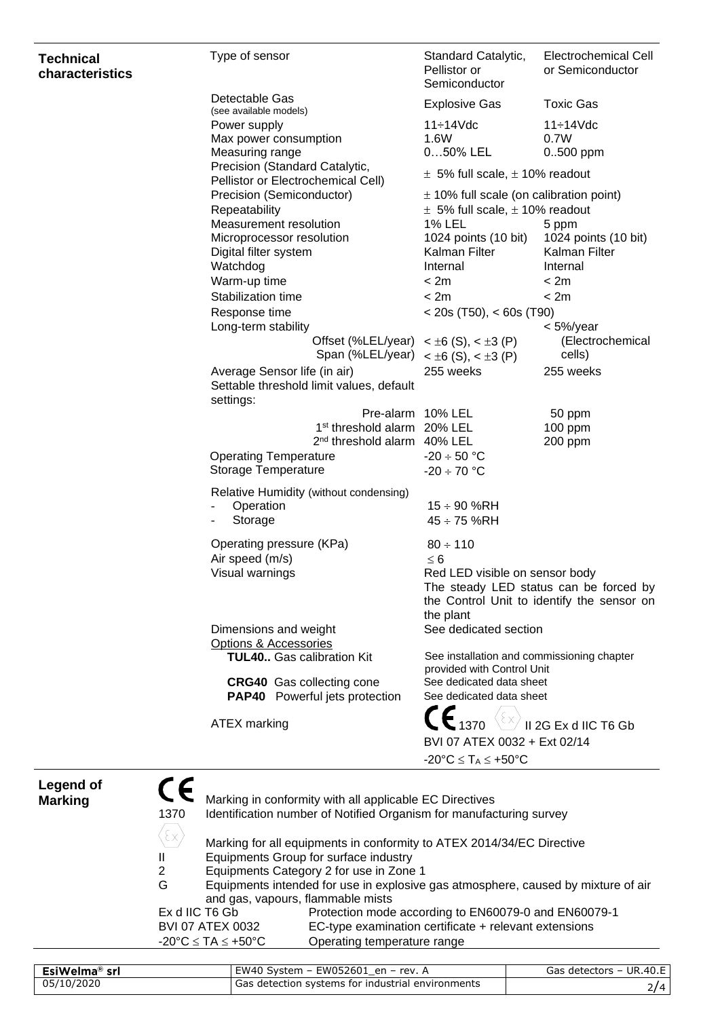| <b>Technical</b><br>characteristics           | Type of sensor                                                                                                               | Standard Catalytic,<br>Pellistor or<br>Semiconductor                                                                 | Electrochemical Cell<br>or Semiconductor                                             |
|-----------------------------------------------|------------------------------------------------------------------------------------------------------------------------------|----------------------------------------------------------------------------------------------------------------------|--------------------------------------------------------------------------------------|
|                                               | Detectable Gas                                                                                                               | <b>Explosive Gas</b>                                                                                                 | <b>Toxic Gas</b>                                                                     |
|                                               | (see available models)<br>Power supply                                                                                       | $11 \div 14$ Vdc                                                                                                     | 11÷14Vdc                                                                             |
|                                               | Max power consumption                                                                                                        | 1.6W                                                                                                                 | 0.7W                                                                                 |
|                                               | Measuring range                                                                                                              | 050% LEL                                                                                                             | $0.500$ ppm                                                                          |
|                                               | Precision (Standard Catalytic,<br>Pellistor or Electrochemical Cell)                                                         | $\pm$ 5% full scale, $\pm$ 10% readout                                                                               |                                                                                      |
|                                               | Precision (Semiconductor)                                                                                                    | $\pm$ 10% full scale (on calibration point)                                                                          |                                                                                      |
|                                               | Repeatability                                                                                                                | $\pm$ 5% full scale, $\pm$ 10% readout                                                                               |                                                                                      |
|                                               | Measurement resolution                                                                                                       | 1% LEL                                                                                                               | 5 ppm                                                                                |
|                                               | Microprocessor resolution                                                                                                    | 1024 points (10 bit)                                                                                                 | 1024 points (10 bit)                                                                 |
|                                               | Digital filter system<br>Watchdog                                                                                            | Kalman Filter<br>Internal                                                                                            | Kalman Filter<br>Internal                                                            |
|                                               | Warm-up time                                                                                                                 | < 2m                                                                                                                 | < 2m                                                                                 |
|                                               | Stabilization time                                                                                                           | < 2m                                                                                                                 | < 2m                                                                                 |
|                                               | Response time                                                                                                                | $<$ 20s (T50), $<$ 60s (T90)                                                                                         |                                                                                      |
|                                               | Long-term stability                                                                                                          |                                                                                                                      | $<$ 5%/year                                                                          |
|                                               |                                                                                                                              | Offset (%LEL/year) $\lt \pm 6$ (S), $\lt \pm 3$ (P)                                                                  | (Electrochemical                                                                     |
|                                               |                                                                                                                              | Span (%LEL/year) $\lt \pm 6$ (S), $\lt \pm 3$ (P)                                                                    | cells)                                                                               |
|                                               | Average Sensor life (in air)<br>Settable threshold limit values, default                                                     | 255 weeks                                                                                                            | 255 weeks                                                                            |
|                                               | settings:                                                                                                                    | Pre-alarm 10% LEL                                                                                                    | 50 ppm                                                                               |
|                                               | 1 <sup>st</sup> threshold alarm 20% LEL                                                                                      |                                                                                                                      | 100 ppm                                                                              |
|                                               | 2 <sup>nd</sup> threshold alarm 40% LEL                                                                                      |                                                                                                                      | 200 ppm                                                                              |
|                                               | <b>Operating Temperature</b>                                                                                                 | $-20 \div 50$ °C                                                                                                     |                                                                                      |
|                                               | Storage Temperature                                                                                                          | $-20 \div 70$ °C                                                                                                     |                                                                                      |
|                                               | Relative Humidity (without condensing)<br>Operation<br>Storage                                                               | $15 \div 90$ %RH<br>$45 \div 75$ %RH                                                                                 |                                                                                      |
|                                               | Operating pressure (KPa)<br>Air speed (m/s)                                                                                  | $80 \div 110$<br>$\leq 6$                                                                                            |                                                                                      |
|                                               | Visual warnings                                                                                                              | Red LED visible on sensor body<br>the plant                                                                          | The steady LED status can be forced by<br>the Control Unit to identify the sensor on |
|                                               | Dimensions and weight<br><b>Options &amp; Accessories</b>                                                                    | See dedicated section                                                                                                |                                                                                      |
|                                               | <b>TUL40</b> Gas calibration Kit                                                                                             | See installation and commissioning chapter<br>provided with Control Unit                                             |                                                                                      |
|                                               | <b>CRG40</b> Gas collecting cone<br><b>PAP40</b> Powerful jets protection                                                    | See dedicated data sheet<br>See dedicated data sheet                                                                 |                                                                                      |
|                                               | <b>ATEX</b> marking                                                                                                          | $\mathsf{CE}_{\mathsf{1370}} \left\langle\!\left\{\mathsf{x}\right\}\!\right\rangle$<br>BVI 07 ATEX 0032 + Ext 02/14 | II 2G Ex d IIC T6 Gb                                                                 |
|                                               |                                                                                                                              | $-20^{\circ}C \leq T_A \leq +50^{\circ}C$                                                                            |                                                                                      |
| CE<br><b>Legend of</b><br><b>Marking</b>      | Marking in conformity with all applicable EC Directives                                                                      |                                                                                                                      |                                                                                      |
| 1370<br>$\langle \epsilon \mathsf{x} \rangle$ | Identification number of Notified Organism for manufacturing survey                                                          |                                                                                                                      |                                                                                      |
|                                               | Marking for all equipments in conformity to ATEX 2014/34/EC Directive<br>Equipments Group for surface industry               |                                                                                                                      |                                                                                      |
| Ш<br>$\overline{2}$                           |                                                                                                                              |                                                                                                                      |                                                                                      |
| G                                             | Equipments Category 2 for use in Zone 1<br>Equipments intended for use in explosive gas atmosphere, caused by mixture of air |                                                                                                                      |                                                                                      |
|                                               | and gas, vapours, flammable mists                                                                                            |                                                                                                                      |                                                                                      |
|                                               | Ex d IIC T6 Gb<br>Protection mode according to EN60079-0 and EN60079-1                                                       |                                                                                                                      |                                                                                      |
|                                               | <b>BVI 07 ATEX 0032</b>                                                                                                      | EC-type examination certificate + relevant extensions                                                                |                                                                                      |
|                                               | $-20^{\circ}$ C $\leq$ TA $\leq$ +50 $^{\circ}$ C<br>Operating temperature range                                             |                                                                                                                      |                                                                                      |

| EsiWelma® srl | EW40 System - EW052601 en - rev. $\beta$          | Gas detectors - UR.40.E |
|---------------|---------------------------------------------------|-------------------------|
| 05/10/2020    | Gas detection systems for industrial environments | $\angle$ /4             |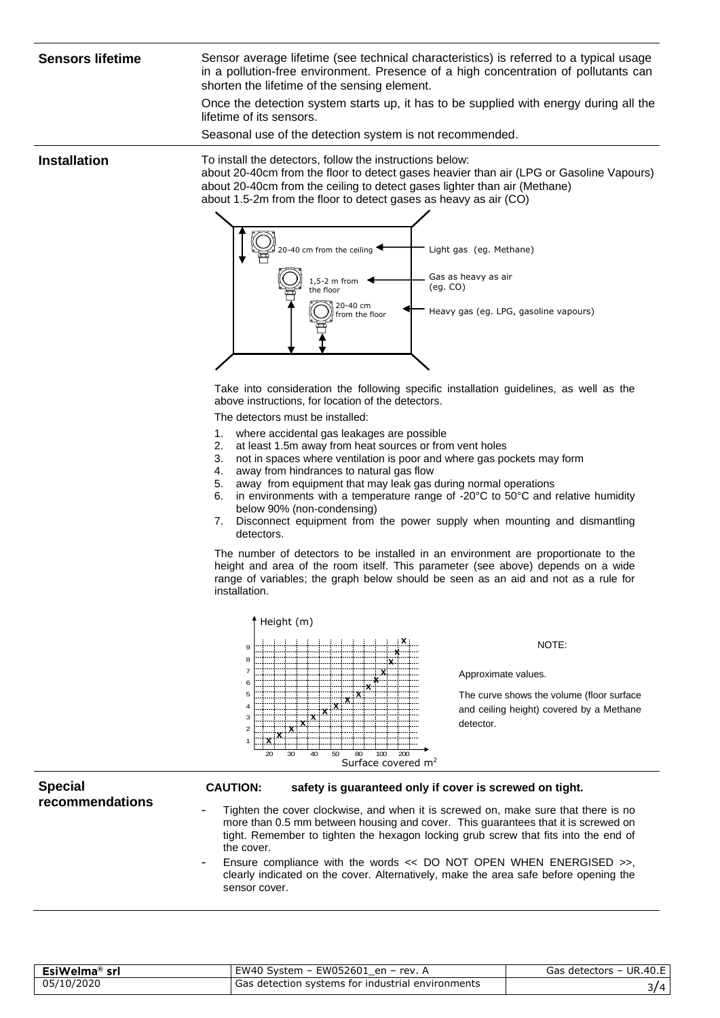**Sensors lifetime** Sensor average lifetime (see technical characteristics) is referred to a typical usage in a pollution-free environment. Presence of a high concentration of pollutants can shorten the lifetime of the sensing element.

> Once the detection system starts up, it has to be supplied with energy during all the lifetime of its sensors.

Seasonal use of the detection system is not recommended.

**Installation** To install the detectors, follow the instructions below: about 20-40cm from the floor to detect gases heavier than air (LPG or Gasoline Vapours) about 20-40cm from the ceiling to detect gases lighter than air (Methane) about 1.5-2m from the floor to detect gases as heavy as air (CO)



Take into consideration the following specific installation guidelines, as well as the above instructions, for location of the detectors.

The detectors must be installed:

- 1. where accidental gas leakages are possible
- 2. at least 1.5m away from heat sources or from vent holes
- 3. not in spaces where ventilation is poor and where gas pockets may form
- 4. away from hindrances to natural gas flow
- 5. away from equipment that may leak gas during normal operations
- 6. in environments with a temperature range of -20°C to 50°C and relative humidity below 90% (non-condensing)
- 7. Disconnect equipment from the power supply when mounting and dismantling detectors.

The number of detectors to be installed in an environment are proportionate to the height and area of the room itself. This parameter (see above) depends on a wide range of variables; the graph below should be seen as an aid and not as a rule for installation.



Tighten the cover clockwise, and when it is screwed on, make sure that there is no more than 0.5 mm between housing and cover. This guarantees that it is screwed on tight. Remember to tighten the hexagon locking grub screw that fits into the end of the cover.

Ensure compliance with the words << DO NOT OPEN WHEN ENERGISED >>, clearly indicated on the cover. Alternatively, make the area safe before opening the sensor cover.

| EsiWelma <sup>®</sup><br>srl | EW40 System - EW052601<br>$\mathbb{P}^1$ en – rev.     | <b>UR.40.E</b><br>Gas<br>detectors – |
|------------------------------|--------------------------------------------------------|--------------------------------------|
| 05/10/2020                   | , detection systems for industrial environments<br>Gas | -                                    |